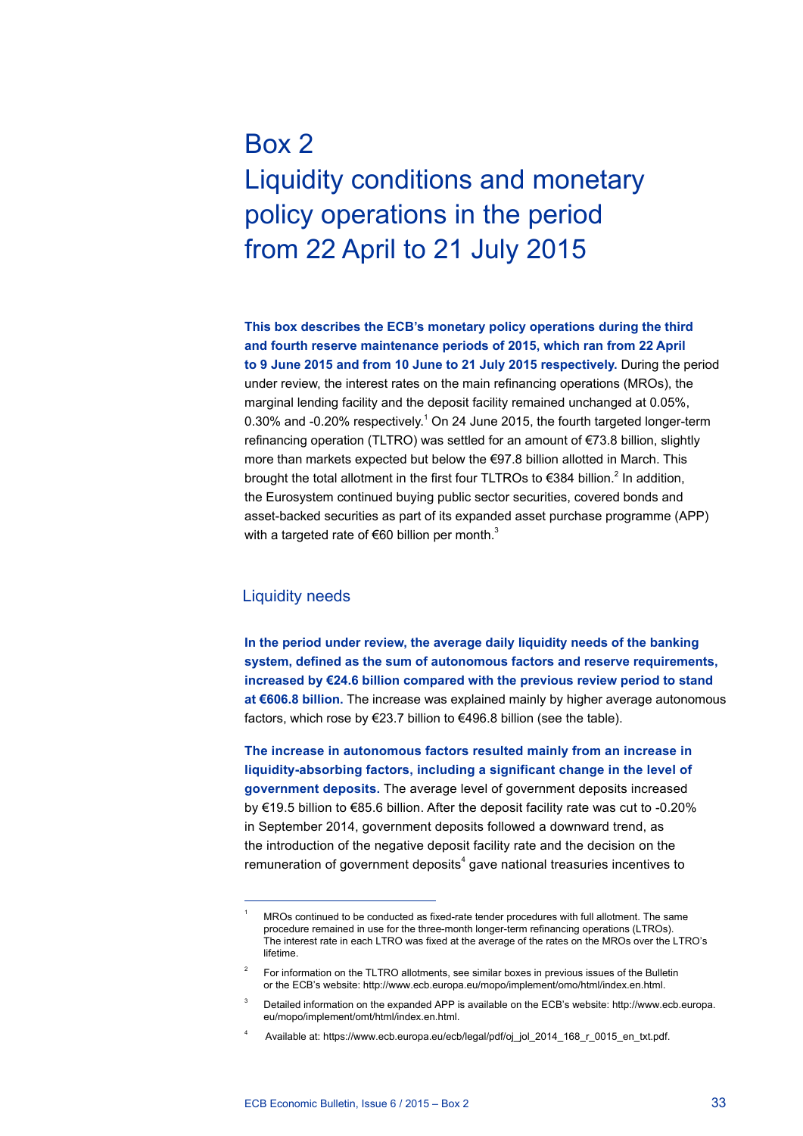# Box 2 Liquidity conditions and monetary policy operations in the period from 22 April to 21 July 2015

**This box describes the ECB's monetary policy operations during the third and fourth reserve maintenance periods of 2015, which ran from 22 April to 9 June 2015 and from 10 June to 21 July 2015 respectively.** During the period under review, the interest rates on the main refinancing operations (MROs), the marginal lending facility and the deposit facility remained unchanged at 0.05%, 0.30% and -0.20% respectively.<sup>1</sup> On 24 June 2015, the fourth targeted longer-term refinancing operation (TLTRO) was settled for an amount of €73.8 billion, slightly more than markets expected but below the €97.8 billion allotted in March. This brought the total allotment in the first four TLTROs to  $\epsilon$ 384 billion.<sup>2</sup> In addition, the Eurosystem continued buying public sector securities, covered bonds and asset-backed securities as part of its expanded asset purchase programme (APP) with a targeted rate of  $\epsilon$ 60 billion per month.<sup>3</sup>

# Liquidity needs

**In the period under review, the average daily liquidity needs of the banking system, defined as the sum of autonomous factors and reserve requirements, increased by €24.6 billion compared with the previous review period to stand at €606.8 billion.** The increase was explained mainly by higher average autonomous factors, which rose by €23.7 billion to €496.8 billion (see the table).

**The increase in autonomous factors resulted mainly from an increase in liquidity-absorbing factors, including a significant change in the level of government deposits.** The average level of government deposits increased by €19.5 billion to €85.6 billion. After the deposit facility rate was cut to -0.20% in September 2014, government deposits followed a downward trend, as the introduction of the negative deposit facility rate and the decision on the remuneration of government deposits $4$  gave national treasuries incentives to

<sup>1</sup> MROs continued to be conducted as fixed-rate tender procedures with full allotment. The same procedure remained in use for the three-month longer-term refinancing operations (LTROs). The interest rate in each LTRO was fixed at the average of the rates on the MROs over the LTRO's lifetime.

<sup>2</sup> For information on the TLTRO allotments, see similar boxes in previous issues of the Bulletin or the ECB's website: http://www.ecb.europa.eu/mopo/implement/omo/html/index.en.html.

Detailed information on the expanded APP is available on the ECB's website: [http://www.ecb.europa.](http://www.ecb.europa.eu/mopo/implement/omt/html/index.en.html) [eu/mopo/implement/omt/html/index.en.html.](http://www.ecb.europa.eu/mopo/implement/omt/html/index.en.html)

Available at: [https://www.ecb.europa.eu/ecb/legal/pdf/oj\\_jol\\_2014\\_168\\_r\\_0015\\_en\\_txt.pdf.](https://www.ecb.europa.eu/ecb/legal/pdf/oj_jol_2014_168_r_0015_en_txt.pdf)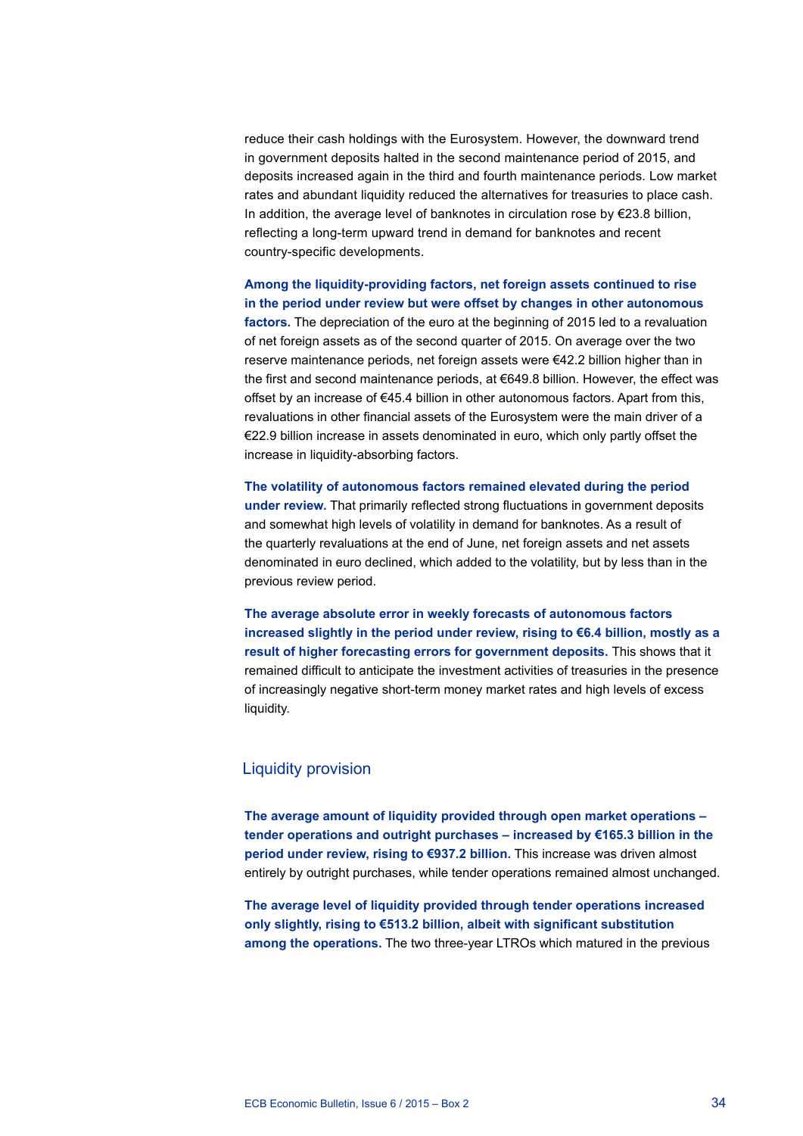reduce their cash holdings with the Eurosystem. However, the downward trend in government deposits halted in the second maintenance period of 2015, and deposits increased again in the third and fourth maintenance periods. Low market rates and abundant liquidity reduced the alternatives for treasuries to place cash. In addition, the average level of banknotes in circulation rose by  $E$ 23.8 billion, reflecting a long-term upward trend in demand for banknotes and recent country-specific developments.

**Among the liquidity-providing factors, net foreign assets continued to rise in the period under review but were offset by changes in other autonomous factors.** The depreciation of the euro at the beginning of 2015 led to a revaluation of net foreign assets as of the second quarter of 2015. On average over the two reserve maintenance periods, net foreign assets were €42.2 billion higher than in the first and second maintenance periods, at €649.8 billion. However, the effect was offset by an increase of €45.4 billion in other autonomous factors. Apart from this, revaluations in other financial assets of the Eurosystem were the main driver of a €22.9 billion increase in assets denominated in euro, which only partly offset the increase in liquidity-absorbing factors.

**The volatility of autonomous factors remained elevated during the period under review.** That primarily reflected strong fluctuations in government deposits and somewhat high levels of volatility in demand for banknotes. As a result of the quarterly revaluations at the end of June, net foreign assets and net assets denominated in euro declined, which added to the volatility, but by less than in the previous review period.

**The average absolute error in weekly forecasts of autonomous factors increased slightly in the period under review, rising to €6.4 billion, mostly as a result of higher forecasting errors for government deposits.** This shows that it remained difficult to anticipate the investment activities of treasuries in the presence of increasingly negative short-term money market rates and high levels of excess liquidity.

# Liquidity provision

**The average amount of liquidity provided through open market operations – tender operations and outright purchases – increased by €165.3 billion in the period under review, rising to €937.2 billion.** This increase was driven almost entirely by outright purchases, while tender operations remained almost unchanged.

**The average level of liquidity provided through tender operations increased only slightly, rising to €513.2 billion, albeit with significant substitution among the operations.** The two three-year LTROs which matured in the previous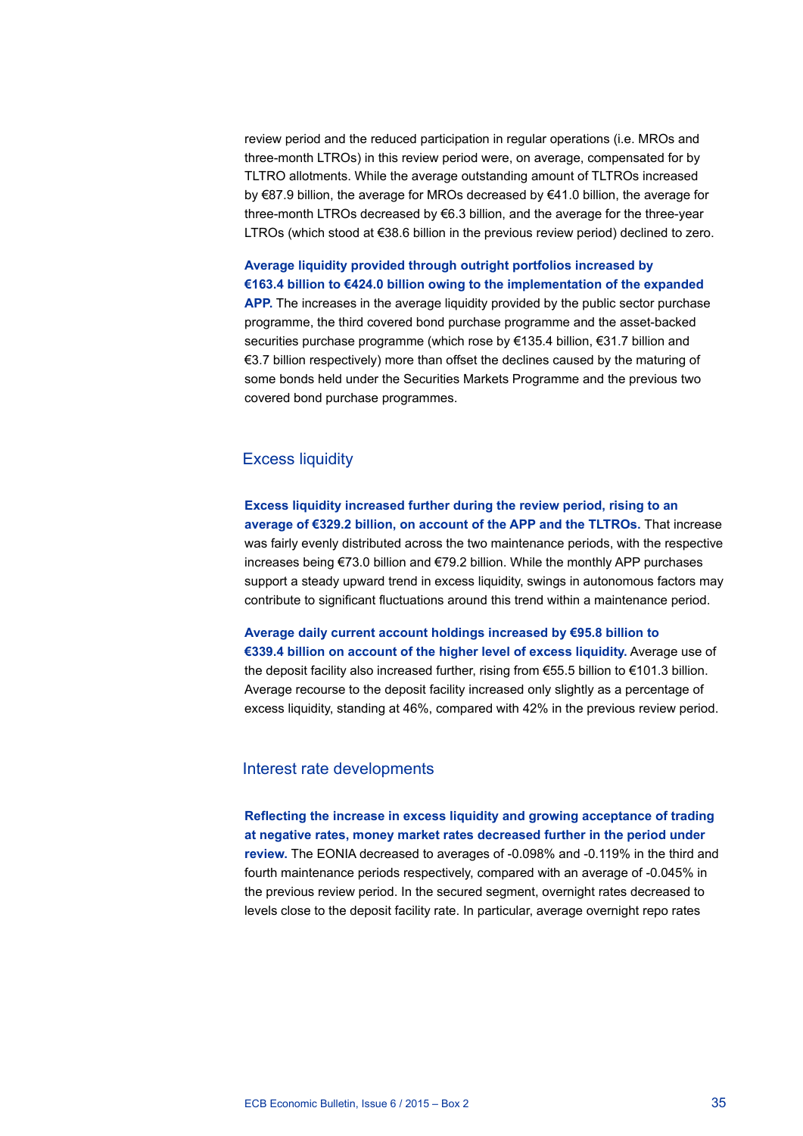review period and the reduced participation in regular operations (i.e. MROs and three-month LTROs) in this review period were, on average, compensated for by TLTRO allotments. While the average outstanding amount of TLTROs increased by €87.9 billion, the average for MROs decreased by €41.0 billion, the average for three-month LTROs decreased by €6.3 billion, and the average for the three-year LTROs (which stood at €38.6 billion in the previous review period) declined to zero.

**Average liquidity provided through outright portfolios increased by €163.4 billion to €424.0 billion owing to the implementation of the expanded APP.** The increases in the average liquidity provided by the public sector purchase programme, the third covered bond purchase programme and the asset-backed securities purchase programme (which rose by €135.4 billion, €31.7 billion and €3.7 billion respectively) more than offset the declines caused by the maturing of some bonds held under the Securities Markets Programme and the previous two covered bond purchase programmes.

# Excess liquidity

**Excess liquidity increased further during the review period, rising to an average of €329.2 billion, on account of the APP and the TLTROs.** That increase was fairly evenly distributed across the two maintenance periods, with the respective increases being €73.0 billion and €79.2 billion. While the monthly APP purchases support a steady upward trend in excess liquidity, swings in autonomous factors may contribute to significant fluctuations around this trend within a maintenance period.

**Average daily current account holdings increased by €95.8 billion to €339.4 billion on account of the higher level of excess liquidity.** Average use of the deposit facility also increased further, rising from €55.5 billion to €101.3 billion. Average recourse to the deposit facility increased only slightly as a percentage of excess liquidity, standing at 46%, compared with 42% in the previous review period.

# Interest rate developments

**Reflecting the increase in excess liquidity and growing acceptance of trading at negative rates, money market rates decreased further in the period under review.** The EONIA decreased to averages of -0.098% and -0.119% in the third and fourth maintenance periods respectively, compared with an average of -0.045% in the previous review period. In the secured segment, overnight rates decreased to levels close to the deposit facility rate. In particular, average overnight repo rates